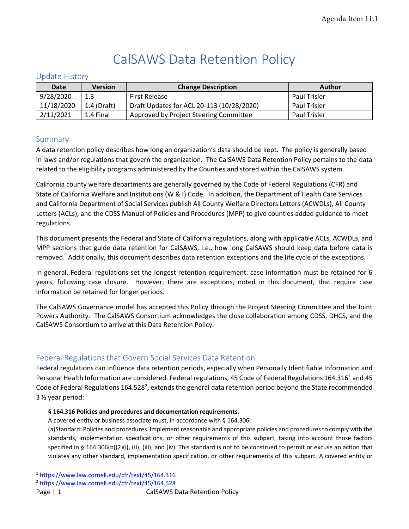# CalSAWS Data Retention Policy

## Update History

| <b>Date</b> | Version       | <b>Change Description</b>                 | <b>Author</b>       |
|-------------|---------------|-------------------------------------------|---------------------|
| 9/28/2020   | 1.3           | <b>First Release</b>                      | <b>Paul Trisler</b> |
| 11/18/2020  | $1.4$ (Draft) | Draft Updates for ACL 20-113 (10/28/2020) | <b>Paul Trisler</b> |
| 2/11/2021   | 1.4 Final     | Approved by Project Steering Committee    | <b>Paul Trisler</b> |

## Summary

A data retention policy describes how long an organization's data should be kept. The policy is generally based in laws and/or regulations that govern the organization. The CalSAWS Data Retention Policy pertains to the data related to the eligibility programs administered by the Counties and stored within the CalSAWS system.

California county welfare departments are generally governed by the Code of Federal Regulations (CFR) and State of California Welfare and Institutions (W & I) Code. In addition, the Department of Health Care Services and California Department of Social Services publish All County Welfare Directors Letters (ACWDLs), All County Letters (ACLs), and the CDSS Manual of Policies and Procedures (MPP) to give counties added guidance to meet regulations.

This document presents the Federal and State of California regulations, along with applicable ACLs, ACWDLs, and MPP sections that guide data retention for CalSAWS, i.e., how long CalSAWS should keep data before data is removed. Additionally, this document describes data retention exceptions and the life cycle of the exceptions.

In general, Federal regulations set the longest retention requirement: case information must be retained for 6 years, following case closure. However, there are exceptions, noted in this document, that require case information be retained for longer periods.

The CalSAWS Governance model has accepted this Policy through the Project Steering Committee and the Joint Powers Authority. The CalSAWS Consortium acknowledges the close collaboration among CDSS, DHCS, and the CalSAWS Consortium to arrive at this Data Retention Policy.

# Federal Regulations that Govern Social Services Data Retention

Federal regulations can influence data retention periods, especially when Personally Identifiable Information and Personal Health Information are considered. Federal regulations, 45 Code of Federal Regulations 164.316<sup>1</sup> and 45 Code of Federal Regulations 164.528<sup>2</sup>, extends the general data retention period beyond the State recommended 3 ½ year period:

### **§ 164.316 Policies and procedures and documentation requirements.**

A covered entity or business associate must, in accordance with § 164.306:

(a)Standard: Policies and procedures. Implement reasonable and appropriate policies and procedures to comply with the standards, implementation specifications, or other requirements of this subpart, taking into account those factors specified in § 164.306(b)(2)(i), (ii), (iii), and (iv). This standard is not to be construed to permit or excuse an action that violates any other standard, implementation specification, or other requirements of this subpart. A covered entity or

<sup>1</sup> <https://www.law.cornell.edu/cfr/text/45/164.316>

<sup>2</sup> <https://www.law.cornell.edu/cfr/text/45/164.528>

Page | 1 CalSAWS Data Retention Policy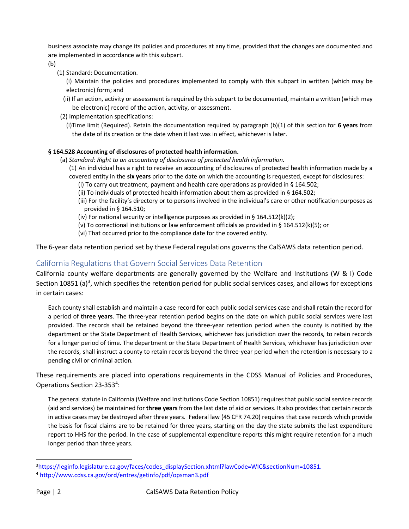business associate may change its policies and procedures at any time, provided that the changes are documented and are implemented in accordance with this subpart.

(b)

- (1) Standard: Documentation.
	- (i) Maintain the policies and procedures implemented to comply with this subpart in written (which may be electronic) form; and
	- (ii) If an action, activity or assessment is required by this subpart to be documented, maintain a written (which may be electronic) record of the action, activity, or assessment.
- (2) Implementation specifications:
	- (i)Time limit (Required). Retain the documentation required by paragraph (b)(1) of this section for **6 years** from the date of its creation or the date when it last was in effect, whichever is later.

#### **§ 164.528 Accounting of disclosures of protected health information.**

- (a) *Standard: Right to an accounting of disclosures of protected health information.*
	- (1) An individual has a right to receive an accounting of disclosures of protected health information made by a covered entity in the **six years** prior to the date on which the accounting is requested, except for disclosures:
		- (i) To carry out treatment, payment and health care operations as provided in § 164.502;
		- (ii) To individuals of protected health information about them as provided in § 164.502;
		- (iii) For the facility's directory or to persons involved in the individual's care or other notification purposes as provided in § 164.510;
		- (iv) For national security or intelligence purposes as provided in § 164.512(k)(2);
		- (v) To correctional institutions or law enforcement officials as provided in § 164.512(k)(5); or
		- (vi) That occurred prior to the compliance date for the covered entity.

The 6-year data retention period set by these Federal regulations governs the CalSAWS data retention period.

# California Regulations that Govern Social Services Data Retention

California county welfare departments are generally governed by the Welfare and Institutions (W & I) Code Section 10851 (a)<sup>3</sup>, which specifies the retention period for public social services cases, and allows for exceptions in certain cases:

Each county shall establish and maintain a case record for each public social services case and shall retain the record for a period of **three years**. The three-year retention period begins on the date on which public social services were last provided. The records shall be retained beyond the three-year retention period when the county is notified by the department or the State Department of Health Services, whichever has jurisdiction over the records, to retain records for a longer period of time. The department or the State Department of Health Services, whichever has jurisdiction over the records, shall instruct a county to retain records beyond the three-year period when the retention is necessary to a pending civil or criminal action.

These requirements are placed into operations requirements in the CDSS Manual of Policies and Procedures, Operations Section 23-353<sup>4</sup>:

The general statute in California (Welfare and Institutions Code Section 10851) requires that public social service records (aid and services) be maintained for **three years** from the last date of aid or services. It also provides that certain records in active cases may be destroyed after three years. Federal law (45 CFR 74.20) requires that case records which provide the basis for fiscal claims are to be retained for three years, starting on the day the state submits the last expenditure report to HHS for the period. In the case of supplemental expenditure reports this might require retention for a much longer period than three years.

<sup>&</sup>lt;sup>3</sup>https://leginfo.legislature.ca.gov/faces/codes\_displaySection.xhtml?lawCode=WIC&sectionNum=10851.

<sup>4</sup> <http://www.cdss.ca.gov/ord/entres/getinfo/pdf/opsman3.pdf>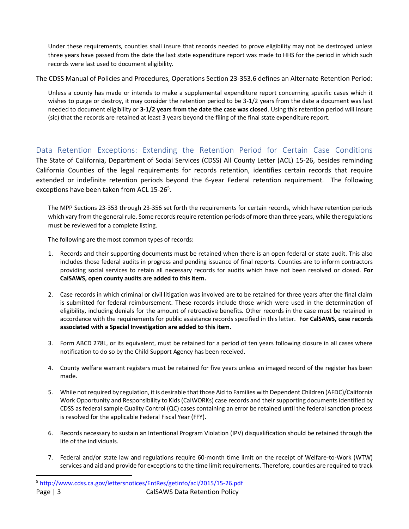Under these requirements, counties shall insure that records needed to prove eligibility may not be destroyed unless three years have passed from the date the last state expenditure report was made to HHS for the period in which such records were last used to document eligibility.

The CDSS Manual of Policies and Procedures, Operations Section 23-353.6 defines an Alternate Retention Period:

Unless a county has made or intends to make a supplemental expenditure report concerning specific cases which it wishes to purge or destroy, it may consider the retention period to be 3-1/2 years from the date a document was last needed to document eligibility or **3-1/2 years from the date the case was closed**. Using this retention period will insure (sic) that the records are retained at least 3 years beyond the filing of the final state expenditure report.

Data Retention Exceptions: Extending the Retention Period for Certain Case Conditions The State of California, Department of Social Services (CDSS) All County Letter (ACL) 15-26, besides reminding California Counties of the legal requirements for records retention, identifies certain records that require extended or indefinite retention periods beyond the 6-year Federal retention requirement. The following exceptions have been taken from ACL 15-26<sup>5</sup>.

The MPP Sections 23-353 through 23-356 set forth the requirements for certain records, which have retention periods which vary from the general rule. Some records require retention periods of more than three years, while the regulations must be reviewed for a complete listing.

The following are the most common types of records:

- 1. Records and their supporting documents must be retained when there is an open federal or state audit. This also includes those federal audits in progress and pending issuance of final reports. Counties are to inform contractors providing social services to retain all necessary records for audits which have not been resolved or closed. **For CalSAWS, open county audits are added to this item.**
- 2. Case records in which criminal or civil litigation was involved are to be retained for three years after the final claim is submitted for federal reimbursement. These records include those which were used in the determination of eligibility, including denials for the amount of retroactive benefits. Other records in the case must be retained in accordance with the requirements for public assistance records specified in this letter. **For CalSAWS, case records associated with a Special Investigation are added to this item.**
- 3. Form ABCD 278L, or its equivalent, must be retained for a period of ten years following closure in all cases where notification to do so by the Child Support Agency has been received.
- 4. County welfare warrant registers must be retained for five years unless an imaged record of the register has been made.
- 5. While not required by regulation, it is desirable that those Aid to Families with Dependent Children (AFDC)/California Work Opportunity and Responsibility to Kids (CalWORKs) case records and their supporting documents identified by CDSS as federal sample Quality Control (QC) cases containing an error be retained until the federal sanction process is resolved for the applicable Federal Fiscal Year (FFY).
- 6. Records necessary to sustain an Intentional Program Violation (IPV) disqualification should be retained through the life of the individuals.
- 7. Federal and/or state law and regulations require 60-month time limit on the receipt of Welfare-to-Work (WTW) services and aid and provide for exceptions to the time limit requirements. Therefore, counties are required to track

Page | 3 CalSAWS Data Retention Policy <sup>5</sup> <http://www.cdss.ca.gov/lettersnotices/EntRes/getinfo/acl/2015/15-26.pdf>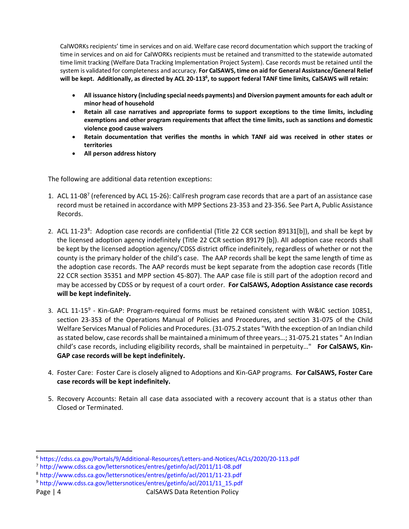CalWORKs recipients' time in services and on aid. Welfare case record documentation which support the tracking of time in services and on aid for CalWORKs recipients must be retained and transmitted to the statewide automated time limit tracking (Welfare Data Tracking Implementation Project System). Case records must be retained until the system is validated for completeness and accuracy. **For CalSAWS, time on aid for General Assistance/General Relief will be kept. Additionally, as directed by ACL 20-113<sup>6</sup> , to support federal TANF time limits, CalSAWS will retain:**

- **All issuance history (including special needs payments) and Diversion payment amounts for each adult or minor head of household**
- **Retain all case narratives and appropriate forms to support exceptions to the time limits, including exemptions and other program requirements that affect the time limits, such as sanctions and domestic violence good cause waivers**
- **Retain documentation that verifies the months in which TANF aid was received in other states or territories**
- **All person address history**

The following are additional data retention exceptions:

- 1. ACL 11-08<sup>7</sup> (referenced by ACL 15-26): CalFresh program case records that are a part of an assistance case record must be retained in accordance with MPP Sections 23-353 and 23-356. See Part A, Public Assistance Records.
- 2. ACL 11-23<sup>8</sup>: Adoption case records are confidential (Title 22 CCR section 89131[b]), and shall be kept by the licensed adoption agency indefinitely (Title 22 CCR section 89179 [b]). All adoption case records shall be kept by the licensed adoption agency/CDSS district office indefinitely, regardless of whether or not the county is the primary holder of the child's case. The AAP records shall be kept the same length of time as the adoption case records. The AAP records must be kept separate from the adoption case records (Title 22 CCR section 35351 and MPP section 45-807). The AAP case file is still part of the adoption record and may be accessed by CDSS or by request of a court order. **For CalSAWS, Adoption Assistance case records will be kept indefinitely.**
- 3. ACL 11-15<sup>9</sup> Kin-GAP: Program-required forms must be retained consistent with W&IC section 10851, section 23-353 of the Operations Manual of Policies and Procedures, and section 31-075 of the Child Welfare Services Manual of Policies and Procedures. (31-075.2 states "With the exception of an Indian child as stated below, case records shall be maintained a minimum of three years…; 31-075.21 states " An Indian child's case records, including eligibility records, shall be maintained in perpetuity…" **For CalSAWS, Kin-GAP case records will be kept indefinitely.**
- 4. Foster Care: Foster Care is closely aligned to Adoptions and Kin-GAP programs. **For CalSAWS, Foster Care case records will be kept indefinitely.**
- 5. Recovery Accounts: Retain all case data associated with a recovery account that is a status other than Closed or Terminated.

<sup>6</sup> <https://cdss.ca.gov/Portals/9/Additional-Resources/Letters-and-Notices/ACLs/2020/20-113.pdf>

<sup>7</sup> <http://www.cdss.ca.gov/lettersnotices/entres/getinfo/acl/2011/11-08.pdf>

<sup>8</sup> <http://www.cdss.ca.gov/lettersnotices/entres/getinfo/acl/2011/11-23.pdf>

<sup>9</sup> [http://www.cdss.ca.gov/lettersnotices/entres/getinfo/acl/2011/11\\_15.pdf](http://www.cdss.ca.gov/lettersnotices/entres/getinfo/acl/2011/11_15.pdf)